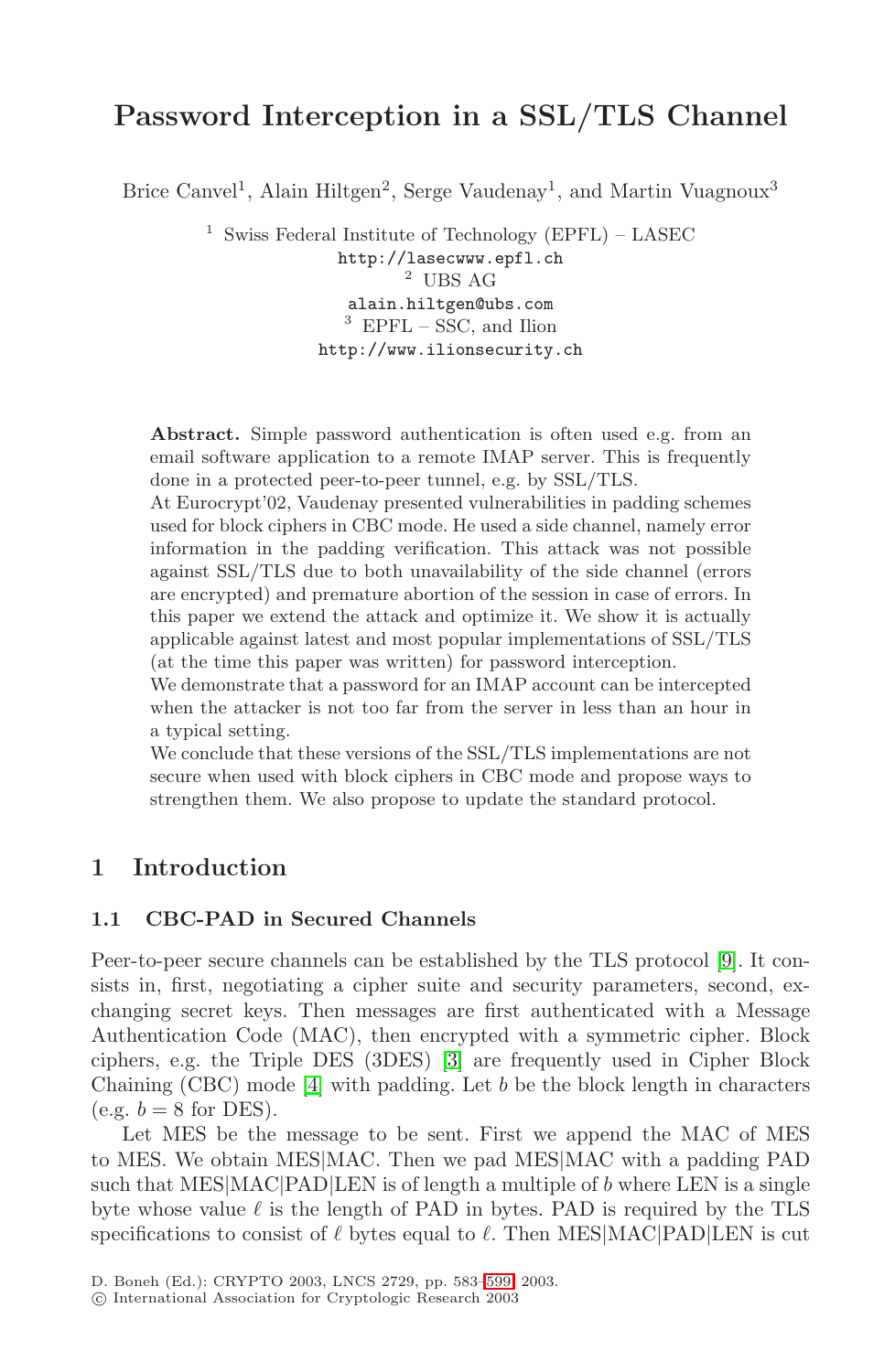# **Password Interception in a SSL/TLS Channel**

Brice Canvel<sup>1</sup>, Alain Hiltgen<sup>2</sup>, Serge Vaudenay<sup>1</sup>, and Martin Vuagnoux<sup>3</sup>

<sup>1</sup> Swiss Federal Institute of Technology (EPFL) – LASEC http://lasecwww.epfl.ch 2 UBS AG alain.hiltgen@ubs.com  $^3$  EPFL – SSC, and Ilion http://www.ilionsecurity.ch

**Abstract.** Simple password authentication is often used e.g. from an email software application to a remote IMAP server. This is frequently done in a protected peer-to-peer tunnel, e.g. by SSL/TLS.

At Eurocrypt'02, Vaudenay presented vulnerabilities in padding schemes used for block ciphers in CBC mode. He used a side channel, namely error information in the padding verification. This attack was not possible against SSL/TLS due to both unavailability of the side channel (errors are encrypted) and premature abortion of the session in case of errors. In this paper we extend the attack and optimize it. We show it is actually applicable against latest and most popular implementations of SSL/TLS (at the time this paper was written) for password interception.

We demonstrate that a password for an IMAP account can be intercepted when the attacker is not too far from the server in less than an hour in a typical setting.

We conclude that these versions of the SSL/TLS implementations are not secure when used with block ciphers in CBC mode and propose ways to strengthen them. We also propose to update the standard protocol.

## **1 Introduction**

### **1.1 CBC-PAD in Secured Channels**

Peer-to-peer secure channels can be established by the TLS protocol [\[9\]](#page-15-0). It consists in, first, negotiating a cipher suite and security parameters, second, exchanging secret keys. Then messages are first authenticated with a Message Authentication Code (MAC), then encrypted with a symmetric cipher. Block ciphers, e.g. the Triple DES (3DES) [\[3\]](#page-15-0) are frequently used in Cipher Block Chaining (CBC) mode [\[4\]](#page-15-0) with padding. Let b be the block length in characters  $(e.g. b = 8 for DES).$ 

Let MES be the message to be sent. First we append the MAC of MES to MES. We obtain MES|MAC. Then we pad MES|MAC with a padding PAD such that MES $|MAC|PAD|LEN$  is of length a multiple of b where LEN is a single byte whose value  $\ell$  is the length of PAD in bytes. PAD is required by the TLS specifications to consist of  $\ell$  bytes equal to  $\ell$ . Then MES|MAC|PAD|LEN is cut

c International Association for Cryptologic Research 2003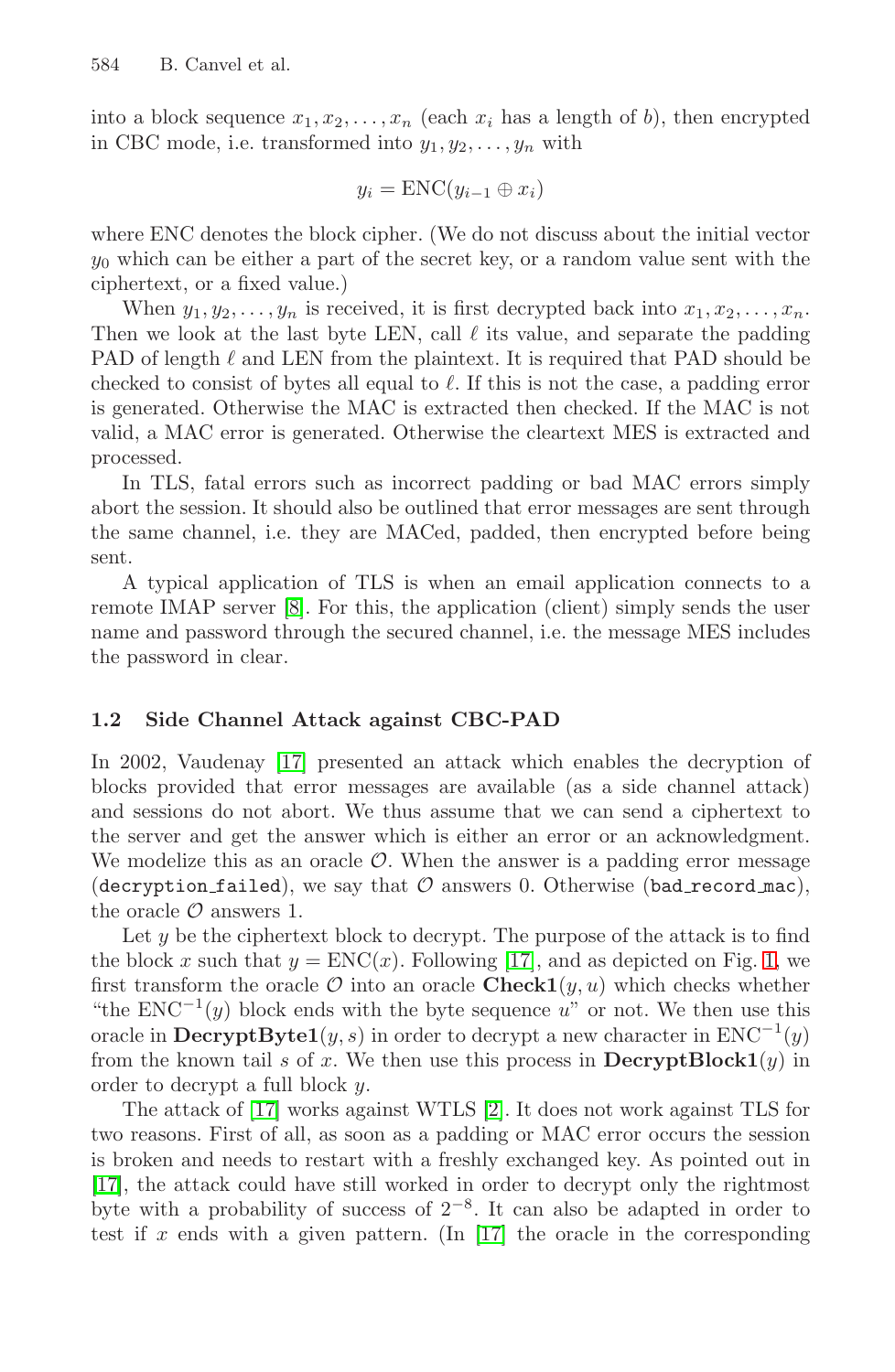into a block sequence  $x_1, x_2, \ldots, x_n$  (each  $x_i$  has a length of b), then encrypted in CBC mode, i.e. transformed into  $y_1, y_2, \ldots, y_n$  with

$$
y_i = \text{ENC}(y_{i-1} \oplus x_i)
$$

where ENC denotes the block cipher. (We do not discuss about the initial vector  $y_0$  which can be either a part of the secret key, or a random value sent with the ciphertext, or a fixed value.)

When  $y_1, y_2, \ldots, y_n$  is received, it is first decrypted back into  $x_1, x_2, \ldots, x_n$ . Then we look at the last byte LEN, call  $\ell$  its value, and separate the padding PAD of length  $\ell$  and LEN from the plaintext. It is required that PAD should be checked to consist of bytes all equal to  $\ell$ . If this is not the case, a padding error is generated. Otherwise the MAC is extracted then checked. If the MAC is not valid, a MAC error is generated. Otherwise the cleartext MES is extracted and processed.

In TLS, fatal errors such as incorrect padding or bad MAC errors simply abort the session. It should also be outlined that error messages are sent through the same channel, i.e. they are MACed, padded, then encrypted before being sent.

A typical application of TLS is when an email application connects to a remote IMAP server [\[8\]](#page-15-0). For this, the application (client) simply sends the user name and password through the secured channel, i.e. the message MES includes the password in clear.

## **1.2 Side Channel Attack against CBC-PAD**

In 2002, Vaudenay [\[17\]](#page-16-0) presented an attack which enables the decryption of blocks provided that error messages are available (as a side channel attack) and sessions do not abort. We thus assume that we can send a ciphertext to the server and get the answer which is either an error or an acknowledgment. We modelize this as an oracle  $\mathcal{O}$ . When the answer is a padding error message (decryption failed), we say that  $\mathcal O$  answers 0. Otherwise (bad record mac), the oracle  $\mathcal O$  answers 1.

Let  $y$  be the ciphertext block to decrypt. The purpose of the attack is to find the block x such that  $y = \text{ENC}(x)$ . Following [\[17\]](#page-16-0), and as depicted on Fig. [1,](#page-2-0) we first transform the oracle  $\mathcal O$  into an oracle **Check1** $(y, u)$  which checks whether "the  $ENC^{-1}(y)$  block ends with the byte sequence u" or not. We then use this oracle in  $\text{DecryptByte1}(y, s)$  in order to decrypt a new character in  $\text{ENC}^{-1}(y)$ from the known tail s of x. We then use this process in  $\text{DecryptBlock1}(y)$  in order to decrypt a full block y.

The attack of [\[17\]](#page-16-0) works against WTLS [\[2\]](#page-15-0). It does not work against TLS for two reasons. First of all, as soon as a padding or MAC error occurs the session is broken and needs to restart with a freshly exchanged key. As pointed out in [\[17\]](#page-16-0), the attack could have still worked in order to decrypt only the rightmost byte with a probability of success of  $2^{-8}$ . It can also be adapted in order to test if x ends with a given pattern. (In  $[17]$  the oracle in the corresponding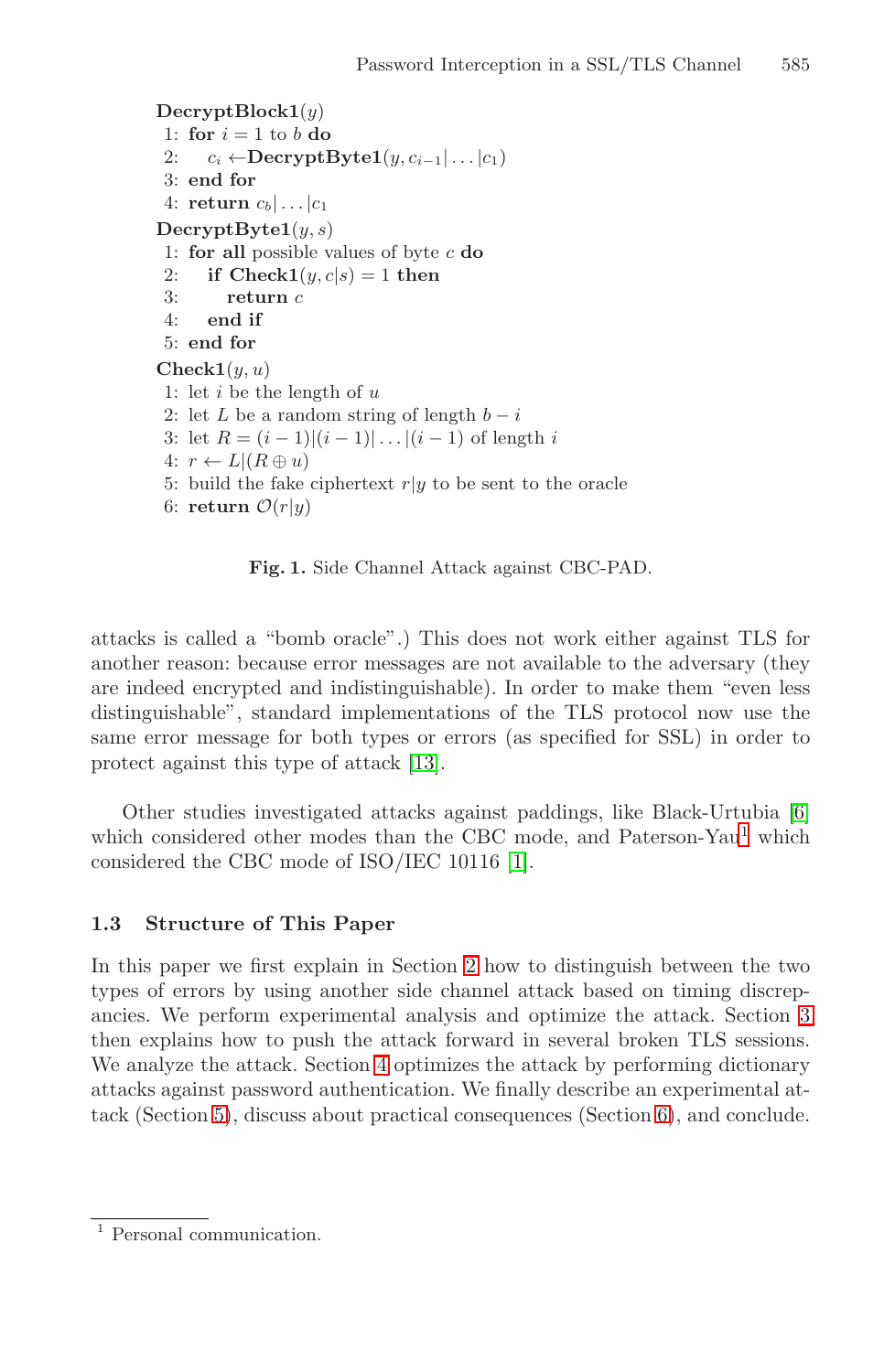```
DecryptBlock1(y)
 1: for i = 1 to b do
 2: c_i \leftarrow \text{DecryptByte1}(y, c_{i-1} | \dots | c_1)3: end for
 4: return c_b | \dots | c_1DecryptByte1(y, s)
 1: for all possible values of byte c do
2: if Check1(y, c|s) = 1 then<br>3: return c
         3: return c
4: end if
 5: end for
Check1(y, u)1: let i be the length of u2: let L be a random string of length b - i3: let R = (i - 1)(i - 1)... |(i - 1) of length i
 4: r \leftarrow L | (R \oplus u)5: build the fake ciphertext r|y to be sent to the oracle
 6: return \mathcal{O}(r|y)
```
**Fig. 1.** Side Channel Attack against CBC-PAD.

attacks is called a "bomb oracle".) This does not work either against TLS for another reason: because error messages are not available to the adversary (they are indeed encrypted and indistinguishable). In order to make them "even less distinguishable", standard implementations of the TLS protocol now use the same error message for both types or errors (as specified for SSL) in order to protect against this type of attack [\[13\]](#page-15-0).

Other studies investigated attacks against paddings, like Black-Urtubia [\[6\]](#page-15-0) which considered other modes than the CBC mode, and Paterson-Yau<sup>1</sup> which considered the CBC mode of ISO/IEC 10116 [\[1\]](#page-15-0).

## **1.3 Structure of This Paper**

In this paper we first explain in Section [2](#page-3-0) how to distinguish between the two types of errors by using another side channel attack based on timing discrepancies. We perform experimental analysis and optimize the attack. Section [3](#page-7-0) then explains how to push the attack forward in several broken TLS sessions. We analyze the attack. Section [4](#page-9-0) optimizes the attack by performing dictionary attacks against password authentication. We finally describe an experimental attack (Section [5\)](#page-11-0), discuss about practical consequences (Section [6\)](#page-13-0), and conclude.

<sup>&</sup>lt;sup>1</sup> Personal communication.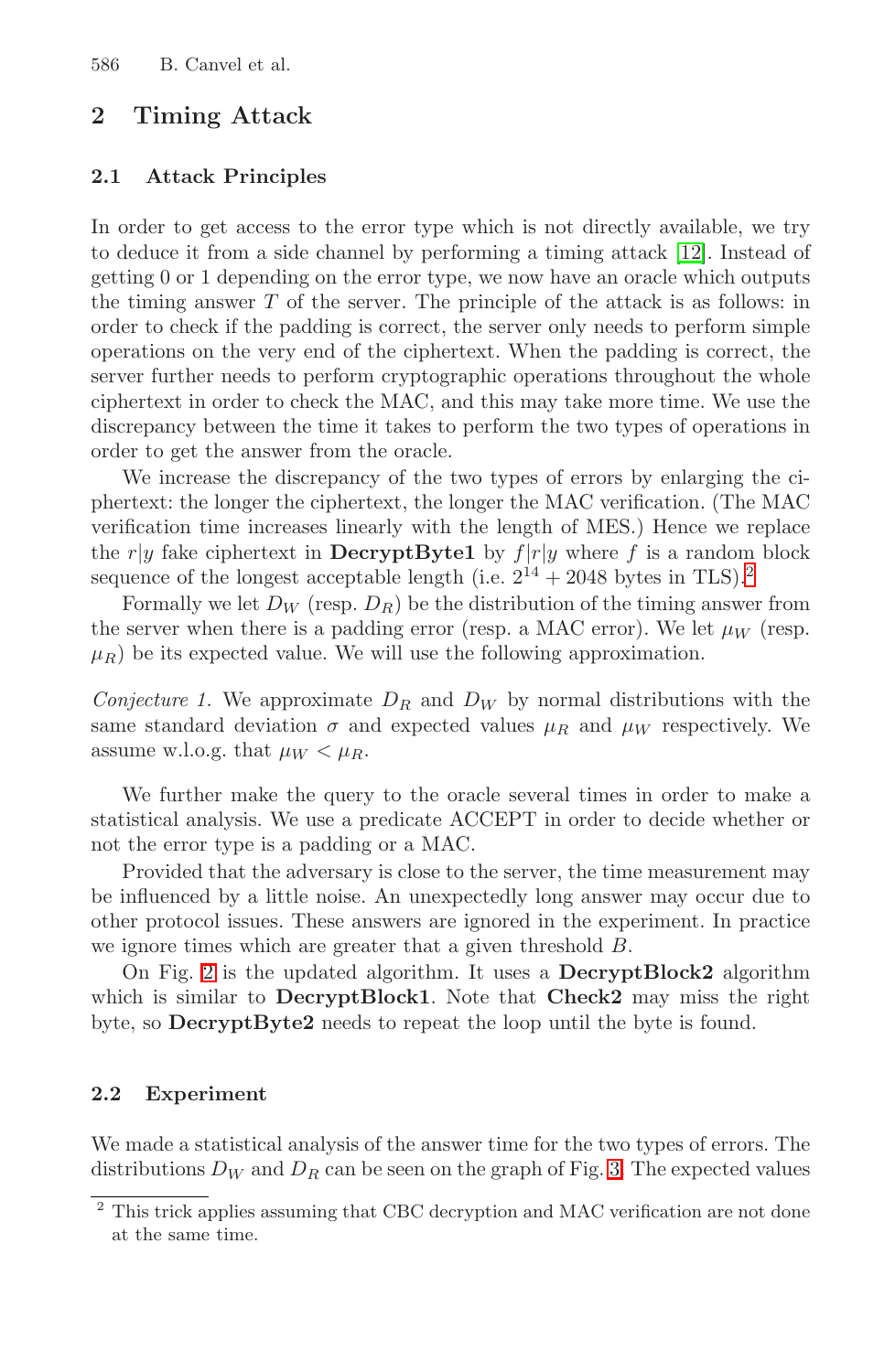## <span id="page-3-0"></span>**2 Timing Attack**

#### **2.1 Attack Principles**

In order to get access to the error type which is not directly available, we try to deduce it from a side channel by performing a timing attack [\[12\]](#page-15-0). Instead of getting 0 or 1 depending on the error type, we now have an oracle which outputs the timing answer T of the server. The principle of the attack is as follows: in order to check if the padding is correct, the server only needs to perform simple operations on the very end of the ciphertext. When the padding is correct, the server further needs to perform cryptographic operations throughout the whole ciphertext in order to check the MAC, and this may take more time. We use the discrepancy between the time it takes to perform the two types of operations in order to get the answer from the oracle.

We increase the discrepancy of the two types of errors by enlarging the ciphertext: the longer the ciphertext, the longer the MAC verification. (The MAC verification time increases linearly with the length of MES.) Hence we replace the r|y fake ciphertext in **DecryptByte1** by  $f|r|y$  where f is a random block sequence of the longest acceptable length (i.e.  $2^{14} + 2048$  bytes in TLS).<sup>2</sup>

Formally we let  $D_W$  (resp.  $D_R$ ) be the distribution of the timing answer from the server when there is a padding error (resp. a MAC error). We let  $\mu_W$  (resp.  $\mu_R$ ) be its expected value. We will use the following approximation.

*Conjecture 1.* We approximate  $D_R$  and  $D_W$  by normal distributions with the same standard deviation  $\sigma$  and expected values  $\mu_R$  and  $\mu_W$  respectively. We assume w.l.o.g. that  $\mu_W < \mu_R$ .

We further make the query to the oracle several times in order to make a statistical analysis. We use a predicate ACCEPT in order to decide whether or not the error type is a padding or a MAC.

Provided that the adversary is close to the server, the time measurement may be influenced by a little noise. An unexpectedly long answer may occur due to other protocol issues. These answers are ignored in the experiment. In practice we ignore times which are greater that a given threshold B.

On Fig. [2](#page-4-0) is the updated algorithm. It uses a **DecryptBlock2** algorithm which is similar to **DecryptBlock1**. Note that **Check2** may miss the right byte, so **DecryptByte2** needs to repeat the loop until the byte is found.

### **2.2 Experiment**

We made a statistical analysis of the answer time for the two types of errors. The distributions  $D_W$  and  $D_R$  can be seen on the graph of Fig. [3.](#page-5-0) The expected values

<sup>2</sup> This trick applies assuming that CBC decryption and MAC verification are not done at the same time.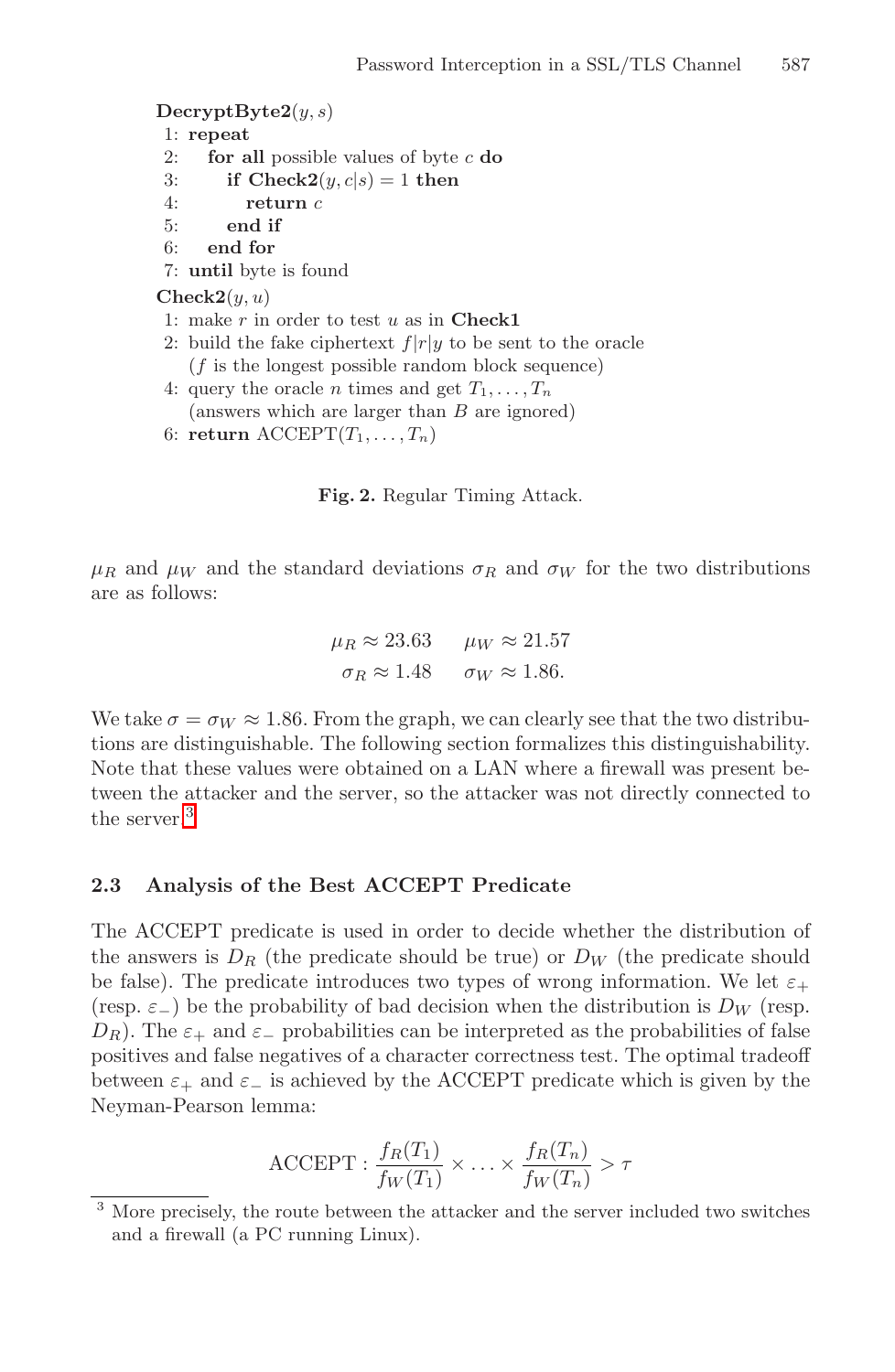<span id="page-4-0"></span>**DecryptByte2**(y, s)

1: **repeat**

- 2: **for all** possible values of byte c **do**
- 3: **if Check2** $(y, c|s) = 1$  **then**<br>4: **return**  $c$
- return  $c$
- 5: **end if**
- 6: **end for**
- 7: **until** byte is found

 $\mathbf{Check2}(y, u)$ 

- 1: make r in order to test u as in **Check1**
- 2: build the fake ciphertext  $f|r|y$  to be sent to the oracle  $(f$  is the longest possible random block sequence)
- 4: query the oracle *n* times and get  $T_1, \ldots, T_n$ 
	- (answers which are larger than B are ignored)
- 6: **return**  $\mathrm{ACCEPT}(T_1, \ldots, T_n)$

**Fig. 2.** Regular Timing Attack.

 $\mu_R$  and  $\mu_W$  and the standard deviations  $\sigma_R$  and  $\sigma_W$  for the two distributions are as follows:

$$
\mu_R \approx 23.63 \qquad \mu_W \approx 21.57
$$

$$
\sigma_R \approx 1.48 \qquad \sigma_W \approx 1.86.
$$

We take  $\sigma = \sigma_W \approx 1.86$ . From the graph, we can clearly see that the two distributions are distinguishable. The following section formalizes this distinguishability. Note that these values were obtained on a LAN where a firewall was present between the attacker and the server, so the attacker was not directly connected to the server.<sup>3</sup>

### **2.3 Analysis of the Best ACCEPT Predicate**

The ACCEPT predicate is used in order to decide whether the distribution of the answers is  $D_R$  (the predicate should be true) or  $D_W$  (the predicate should be false). The predicate introduces two types of wrong information. We let  $\varepsilon_+$ (resp.  $\varepsilon_{-}$ ) be the probability of bad decision when the distribution is  $D_W$  (resp.  $D_R$ ). The  $\varepsilon_+$  and  $\varepsilon_-$  probabilities can be interpreted as the probabilities of false positives and false negatives of a character correctness test. The optimal tradeoff between  $\varepsilon_+$  and  $\varepsilon_-$  is achieved by the ACCEPT predicate which is given by the Neyman-Pearson lemma:

$$
\text{ACCEPT}: \frac{f_R(T_1)}{f_W(T_1)} \times \ldots \times \frac{f_R(T_n)}{f_W(T_n)} > \tau
$$

<sup>&</sup>lt;sup>3</sup> More precisely, the route between the attacker and the server included two switches and a firewall (a PC running Linux).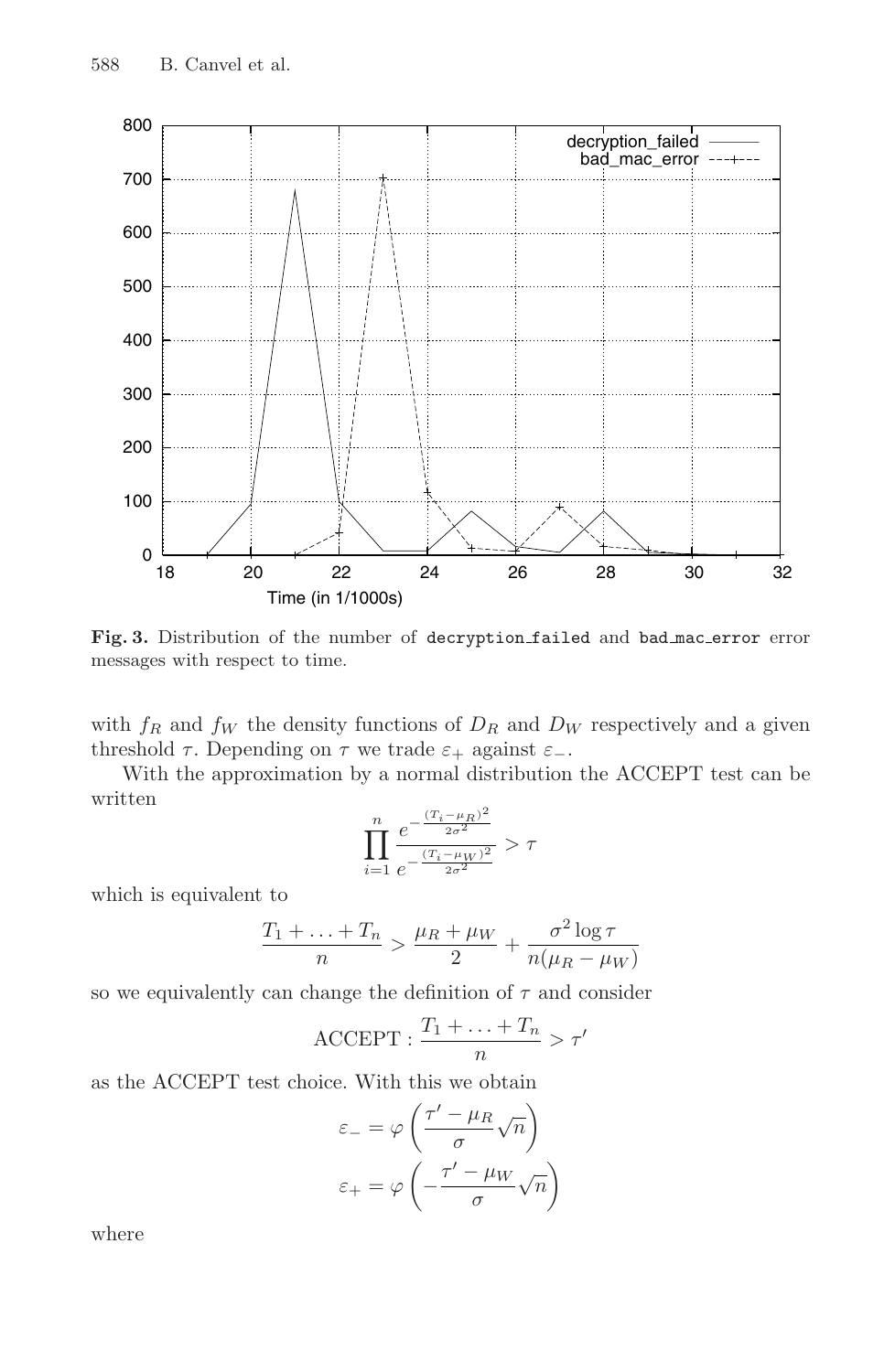<span id="page-5-0"></span>

Fig. 3. Distribution of the number of decryption<sub>failed</sub> and bad mac error error messages with respect to time.

with  $f_R$  and  $f_W$  the density functions of  $D_R$  and  $D_W$  respectively and a given threshold  $\tau$ . Depending on  $\tau$  we trade  $\varepsilon_+$  against  $\varepsilon_-$ .

With the approximation by a normal distribution the ACCEPT test can be written

$$
\prod_{i=1}^n \frac{e^{-\frac{(T_i-\mu_R)^2}{2\sigma^2}}}{e^{-\frac{(T_i-\mu_W)^2}{2\sigma^2}}} > \tau
$$

which is equivalent to

$$
\frac{T_1 + \ldots + T_n}{n} > \frac{\mu_R + \mu_W}{2} + \frac{\sigma^2 \log \tau}{n(\mu_R - \mu_W)}
$$

so we equivalently can change the definition of  $\tau$  and consider

$$
\text{ACCEPT}: \frac{T_1 + \ldots + T_n}{n} > \tau'
$$

as the ACCEPT test choice. With this we obtain

$$
\varepsilon_{-} = \varphi \left( \frac{\tau' - \mu_R}{\sigma} \sqrt{n} \right)
$$

$$
\varepsilon_{+} = \varphi \left( -\frac{\tau' - \mu_W}{\sigma} \sqrt{n} \right)
$$

where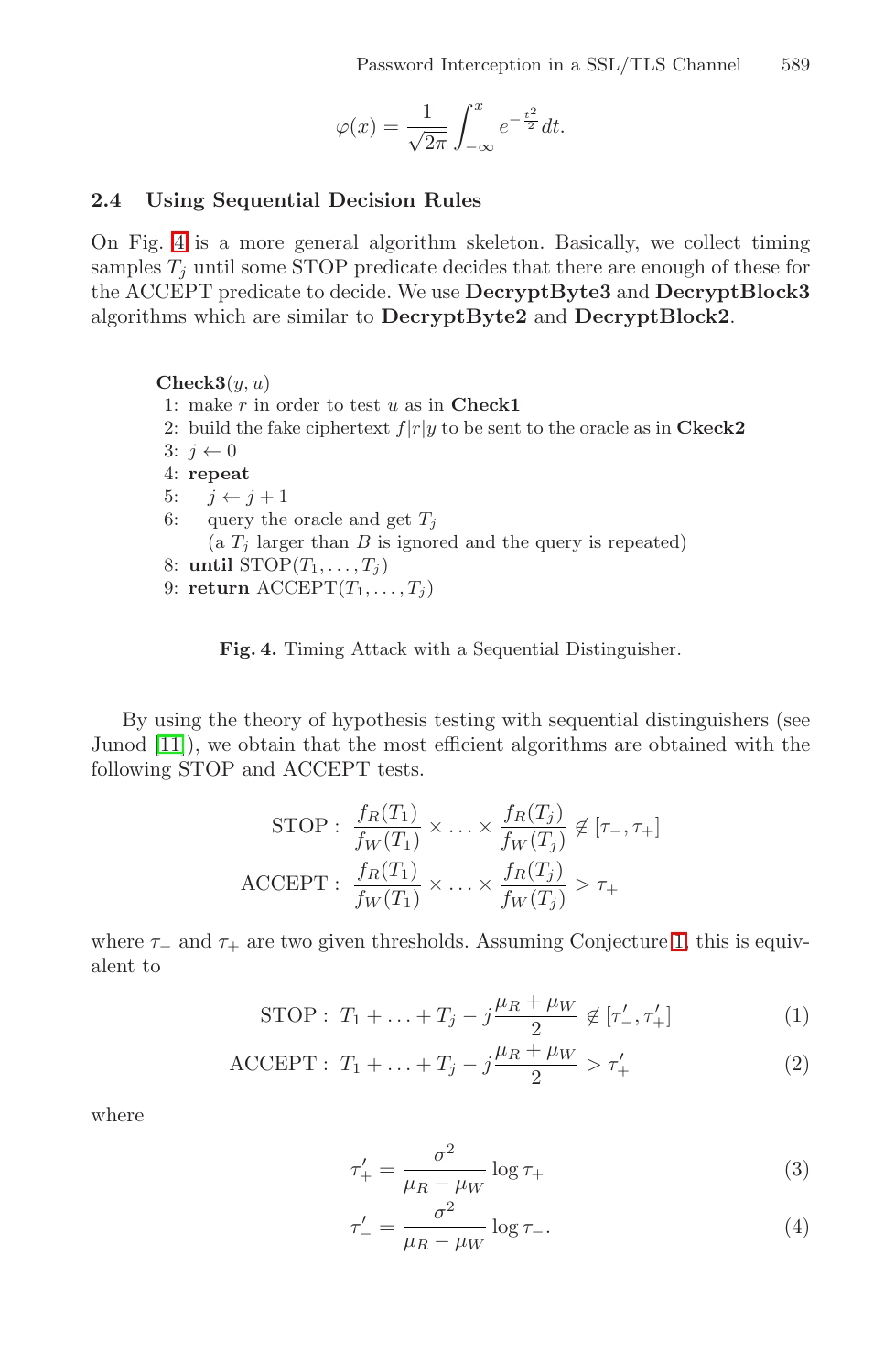$$
\varphi(x) = \frac{1}{\sqrt{2\pi}} \int_{-\infty}^{x} e^{-\frac{t^2}{2}} dt.
$$

#### **2.4 Using Sequential Decision Rules**

On Fig. 4 is a more general algorithm skeleton. Basically, we collect timing samples  $T_i$  until some STOP predicate decides that there are enough of these for the ACCEPT predicate to decide. We use **DecryptByte3** and **DecryptBlock3** algorithms which are similar to **DecryptByte2** and **DecryptBlock2**.

 $Check3(y, u)$ 1: make r in order to test u as in **Check1** 2: build the fake ciphertext  $f|r|y$  to be sent to the oracle as in **Ckeck2** 3:  $i \leftarrow 0$ 4: **repeat** 5:  $j \leftarrow j + 1$ <br>6: query the query the oracle and get  $T_i$ (a  $T_j$  larger than B is ignored and the query is repeated) 8: **until**  $STOP(T_1, \ldots, T_i)$ 9: **return**  $\mathrm{ACCEPT}(T_1, \ldots, T_j)$ 

**Fig. 4.** Timing Attack with a Sequential Distinguisher.

By using the theory of hypothesis testing with sequential distinguishers (see Junod [\[11\]](#page-15-0)), we obtain that the most efficient algorithms are obtained with the following STOP and ACCEPT tests.

$$
\text{STOP}: \frac{f_R(T_1)}{f_W(T_1)} \times \ldots \times \frac{f_R(T_j)}{f_W(T_j)} \notin [\tau_-, \tau_+]
$$

$$
\text{ACCEPT}: \frac{f_R(T_1)}{f_W(T_1)} \times \ldots \times \frac{f_R(T_j)}{f_W(T_j)} > \tau_+
$$

where  $\tau_-\$  and  $\tau_+$  are two given thresholds. Assuming Conjecture [1,](#page-3-0) this is equivalent to

STOP: 
$$
T_1 + ... + T_j - j\frac{\mu_R + \mu_W}{2} \notin [\tau'_-, \tau'_+]
$$
 (1)

ACCEPT: 
$$
T_1 + ... + T_j - j \frac{\mu_R + \mu_W}{2} > \tau'_+
$$
 (2)

where

$$
\tau'_{+} = \frac{\sigma^2}{\mu_R - \mu_W} \log \tau_{+}
$$
\n(3)

$$
\tau'_{-} = \frac{\sigma^2}{\mu_R - \mu_W} \log \tau_{-}.\tag{4}
$$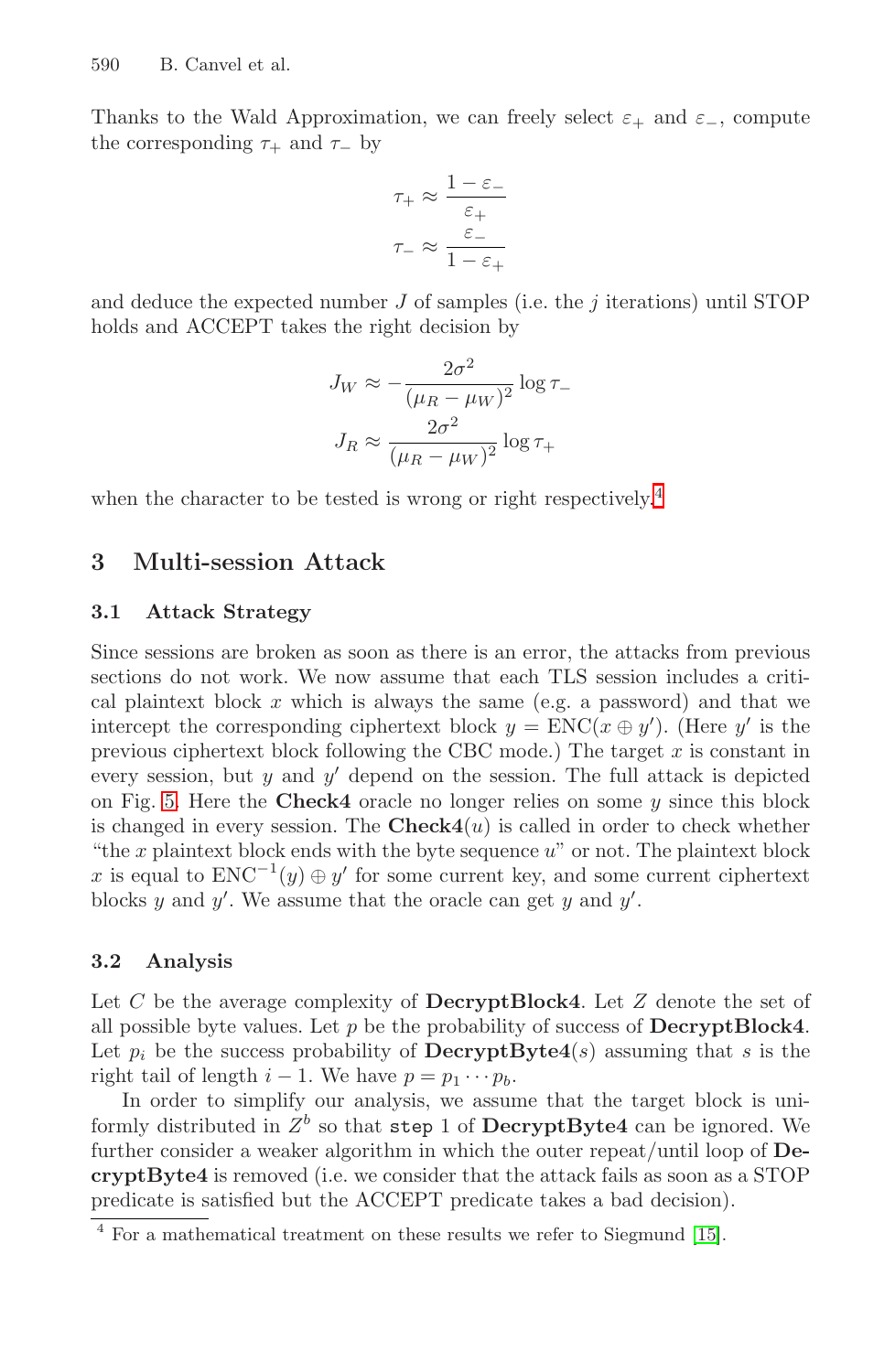<span id="page-7-0"></span>Thanks to the Wald Approximation, we can freely select  $\varepsilon_+$  and  $\varepsilon_-$ , compute the corresponding  $\tau_+$  and  $\tau_-$  by

$$
\tau_+ \approx \frac{1-\varepsilon_-}{\varepsilon_+} \nonumber \\ \tau_- \approx \frac{\varepsilon_-}{1-\varepsilon_+} \nonumber \\
$$

and deduce the expected number  $J$  of samples (i.e. the  $j$  iterations) until STOP holds and ACCEPT takes the right decision by

$$
J_W \approx -\frac{2\sigma^2}{(\mu_R - \mu_W)^2} \log \tau_-
$$

$$
J_R \approx \frac{2\sigma^2}{(\mu_R - \mu_W)^2} \log \tau_+
$$

when the character to be tested is wrong or right respectively.<sup>4</sup>

## **3 Multi-session Attack**

### **3.1 Attack Strategy**

Since sessions are broken as soon as there is an error, the attacks from previous sections do not work. We now assume that each TLS session includes a critical plaintext block  $x$  which is always the same (e.g. a password) and that we intercept the corresponding ciphertext block  $y = \text{ENC}(x \oplus y')$ . (Here y' is the previous ciphertext block following the CBC mode.) The target  $x$  is constant in every session, but  $y$  and  $y'$  depend on the session. The full attack is depicted on Fig. [5.](#page-8-0) Here the **Check4** oracle no longer relies on some  $y$  since this block is changed in every session. The  $Check4(u)$  is called in order to check whether "the  $x$  plaintext block ends with the byte sequence  $u$ " or not. The plaintext block x is equal to  $ENC^{-1}(y) \oplus y'$  for some current key, and some current ciphertext blocks y and y'. We assume that the oracle can get y and  $y'$ .

### **3.2 Analysis**

Let C be the average complexity of **DecryptBlock4**. Let Z denote the set of all possible byte values. Let p be the probability of success of **DecryptBlock4**. Let  $p_i$  be the success probability of **DecryptByte4**(s) assuming that s is the right tail of length  $i - 1$ . We have  $p = p_1 \cdots p_b$ .

In order to simplify our analysis, we assume that the target block is uniformly distributed in  $Z^b$  so that step 1 of **DecryptByte4** can be ignored. We further consider a weaker algorithm in which the outer repeat/until loop of **DecryptByte4** is removed (i.e. we consider that the attack fails as soon as a STOP predicate is satisfied but the ACCEPT predicate takes a bad decision).

<sup>4</sup> For a mathematical treatment on these results we refer to Siegmund [\[15\]](#page-15-0).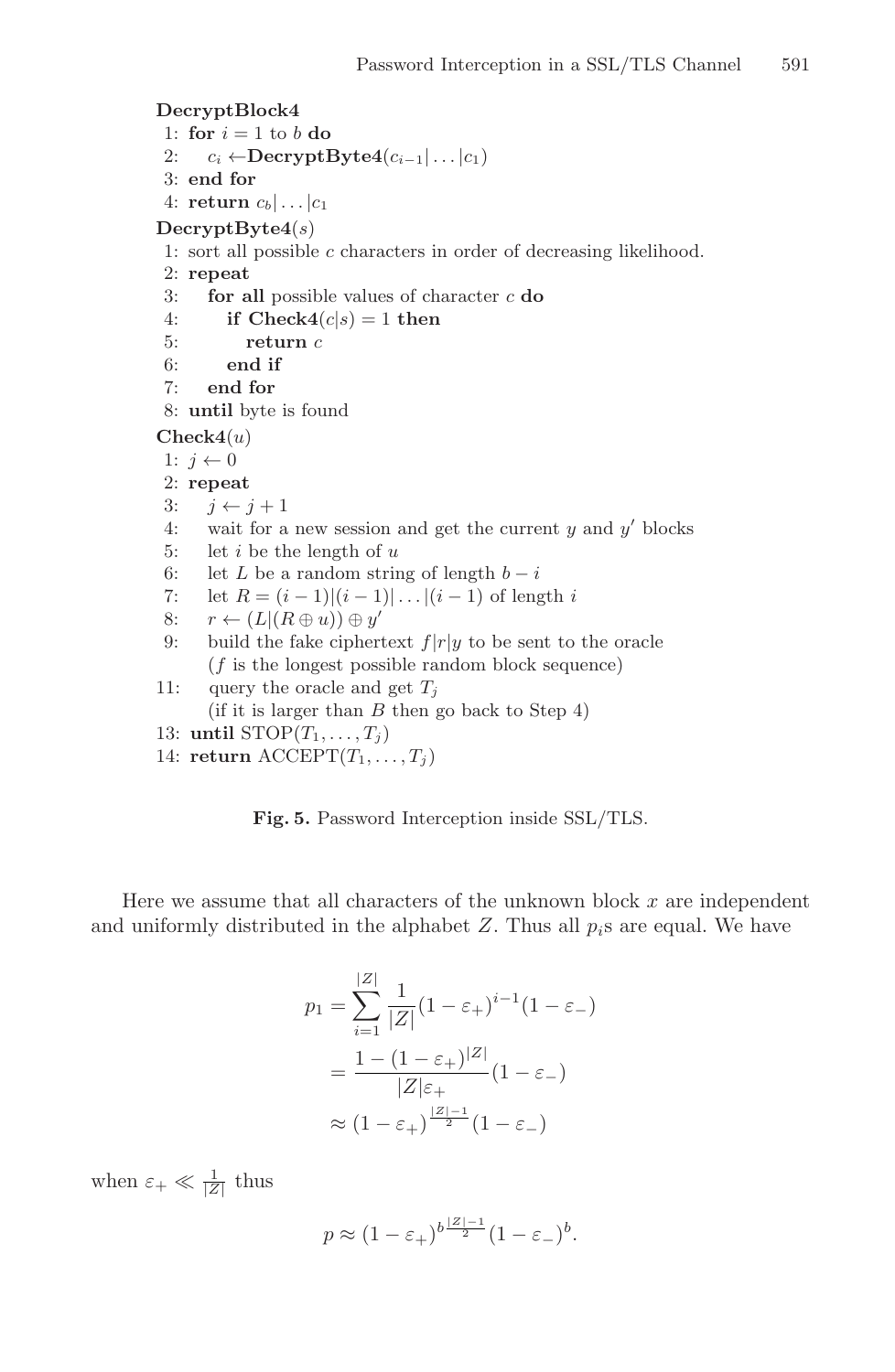```
DecryptBlock4
 1: for i = 1 to b do
 2: c_i \leftarrow \text{DecryptByte4}(c_{i-1}|\ldots|c_1)3: end for
 4: return c_b | \dots | c_1DecryptByte4(s)
 1: sort all possible c characters in order of decreasing likelihood.
 2: repeat
 3: for all possible values of character c do
 4: if Check4(c|s) = 1 then<br>5: return c5: return c
 6: end if
 7: end for
 8: until byte is found
Check4(u)
 1: i \leftarrow 02: repeat
3: j \leftarrow j + 1<br>4: wait for a
       wait for a new session and get the current y and y' blocks
 5: let i be the length of u6: let L be a random string of length b - i<br>7: let R = (i - 1)(i - 1) \dots ((i - 1) of leng
 7: let R = (i - 1)|(i - 1)| \dots |(i - 1) of length i<br>8: r \leftarrow (L|(R \oplus u)) \oplus u'8: r \leftarrow (L|(R \oplus u)) \oplus y'<br>9: build the fake cipher
       build the fake ciphertext f|r|y to be sent to the oracle
       (f is the longest possible random block sequence)
11: query the oracle and get T_i(if it is larger than B then go back to Step 4)
```

```
13: until STOP(T_1, \ldots, T_i)
```

```
14: return \text{ACCEPT}(T_1, \ldots, T_j)
```
**Fig. 5.** Password Interception inside SSL/TLS.

Here we assume that all characters of the unknown block  $x$  are independent and uniformly distributed in the alphabet  $Z$ . Thus all  $p_i$ s are equal. We have

$$
p_1 = \sum_{i=1}^{|Z|} \frac{1}{|Z|} (1 - \varepsilon_+)^{i-1} (1 - \varepsilon_-)
$$

$$
= \frac{1 - (1 - \varepsilon_+)^{|Z|}}{|Z|\varepsilon_+} (1 - \varepsilon_-)
$$

$$
\approx (1 - \varepsilon_+)^{\frac{|Z| - 1}{2}} (1 - \varepsilon_-)
$$

when  $\varepsilon_+ \ll \frac{1}{|Z|}$  thus

$$
p \approx (1 - \varepsilon_+)^{b\frac{|Z|-1}{2}} (1 - \varepsilon_-)^b.
$$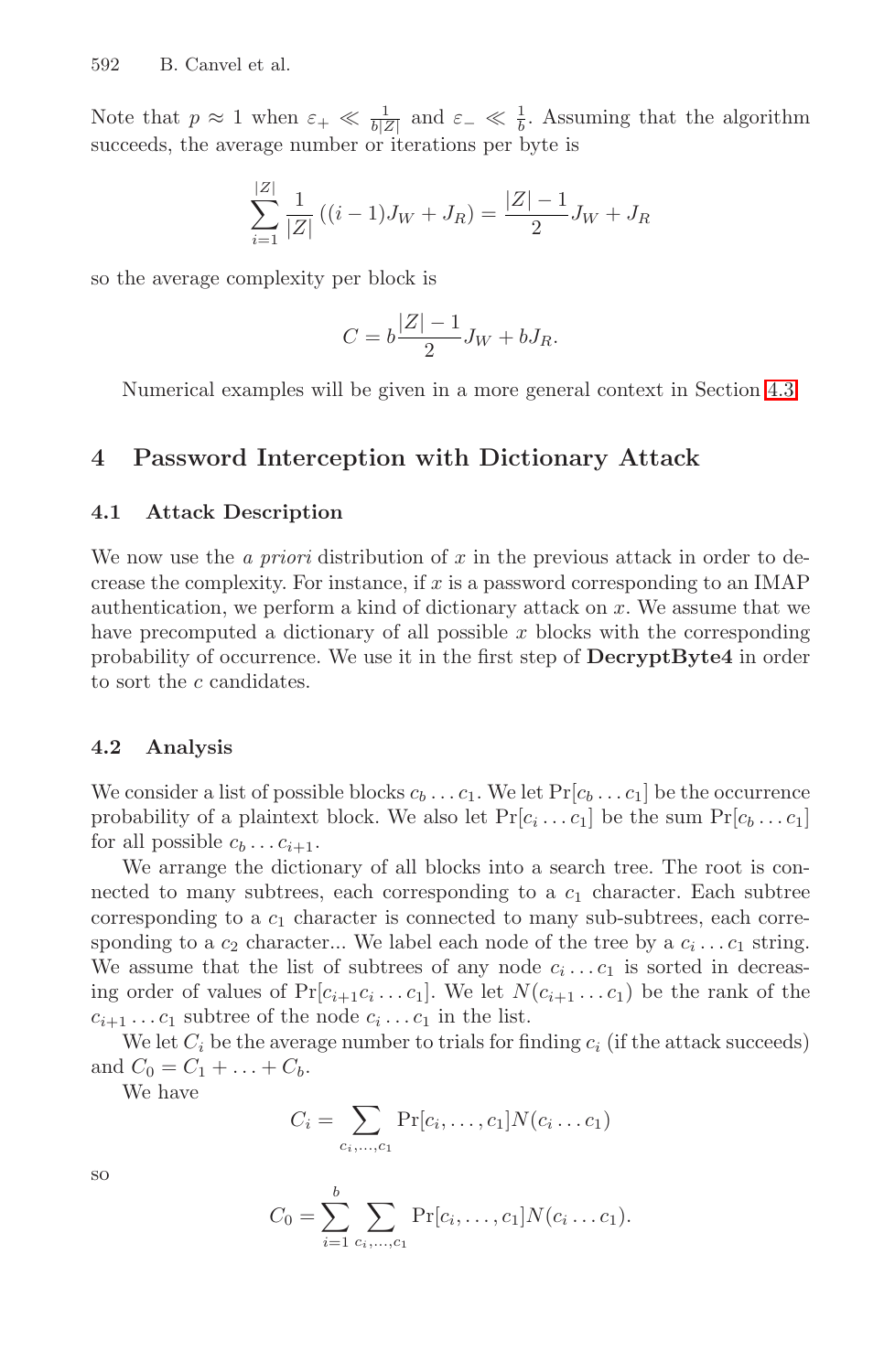<span id="page-9-0"></span>Note that  $p \approx 1$  when  $\varepsilon_+ \ll \frac{1}{b|Z|}$  and  $\varepsilon_- \ll \frac{1}{b}$ . Assuming that the algorithm succeeds, the average number or iterations per byte is

$$
\sum_{i=1}^{|Z|} \frac{1}{|Z|} ((i-1)J_W + J_R) = \frac{|Z| - 1}{2} J_W + J_R
$$

so the average complexity per block is

$$
C = b\frac{|Z| - 1}{2}J_W + bJ_R.
$$

Numerical examples will be given in a more general context in Section [4.3.](#page-11-0)

### **4 Password Interception with Dictionary Attack**

#### **4.1 Attack Description**

We now use the *a priori* distribution of x in the previous attack in order to decrease the complexity. For instance, if x is a password corresponding to an IMAP authentication, we perform a kind of dictionary attack on x. We assume that we have precomputed a dictionary of all possible  $x$  blocks with the corresponding probability of occurrence. We use it in the first step of **DecryptByte4** in order to sort the c candidates.

#### **4.2 Analysis**

We consider a list of possible blocks  $c_b \ldots c_1$ . We let  $Pr[c_b \ldots c_1]$  be the occurrence probability of a plaintext block. We also let  $Pr[c_i \dots c_1]$  be the sum  $Pr[c_b \dots c_1]$ for all possible  $c_b \dots c_{i+1}$ .

We arrange the dictionary of all blocks into a search tree. The root is connected to many subtrees, each corresponding to a  $c_1$  character. Each subtree corresponding to a  $c_1$  character is connected to many sub-subtrees, each corresponding to a  $c_2$  character... We label each node of the tree by a  $c_i \dots c_1$  string. We assume that the list of subtrees of any node  $c_i \dots c_1$  is sorted in decreasing order of values of  $Pr[c_{i+1}c_i \ldots c_1]$ . We let  $N(c_{i+1} \ldots c_1)$  be the rank of the  $c_{i+1} \ldots c_1$  subtree of the node  $c_i \ldots c_1$  in the list.

We let  $C_i$  be the average number to trials for finding  $c_i$  (if the attack succeeds) and  $C_0 = C_1 + ... + C_b$ .

We have

$$
C_i = \sum_{c_i, ..., c_1} \Pr[c_i, ..., c_1] N(c_i ... c_1)
$$

$$
\overline{S}O
$$

$$
C_0 = \sum_{i=1}^{b} \sum_{c_i, ..., c_1} \Pr[c_i, ..., c_1] N(c_i ... c_1).
$$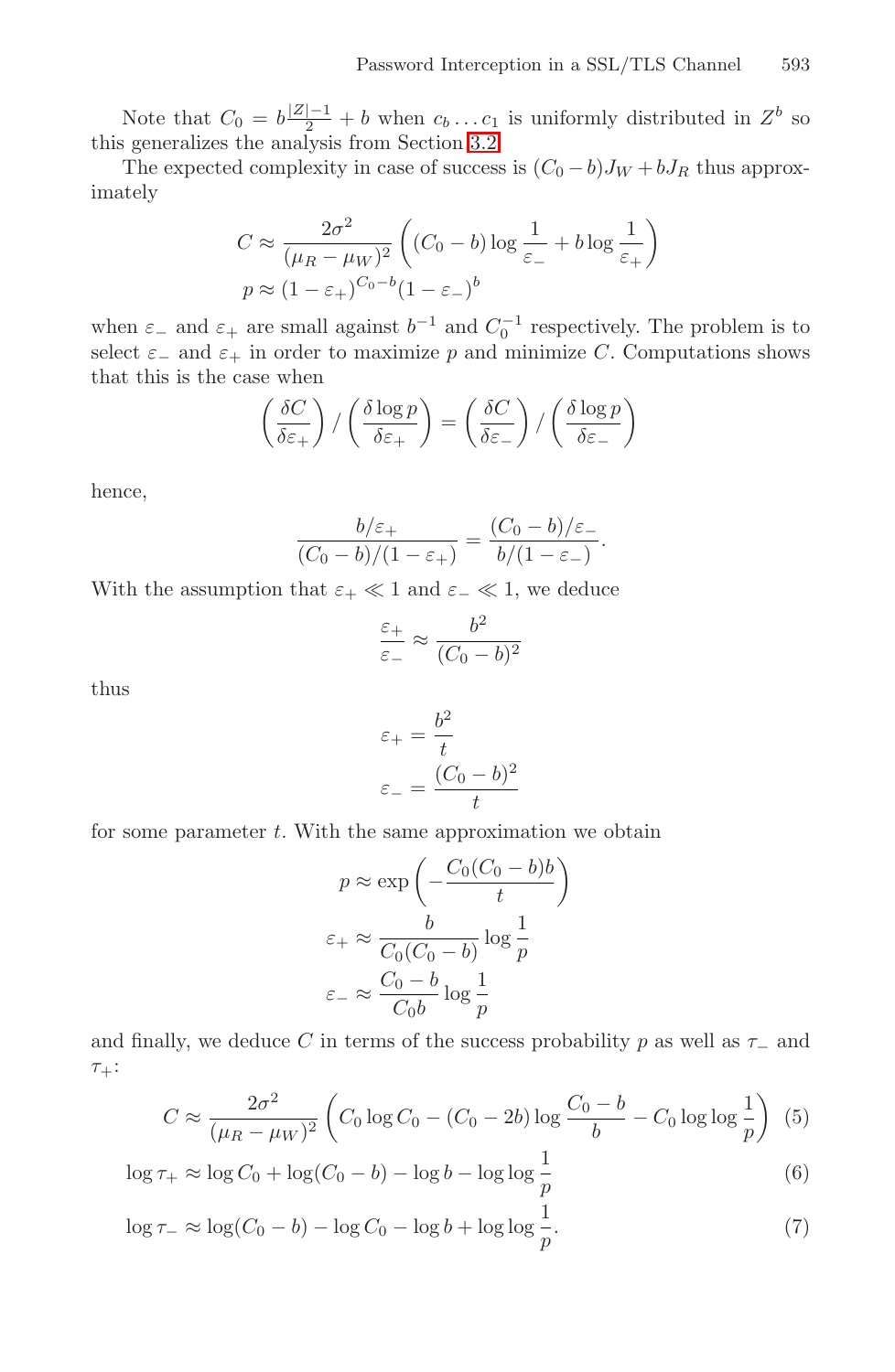Note that  $C_0 = b \frac{|Z|-1}{2} + b$  when  $c_b \dots c_1$  is uniformly distributed in  $Z^b$  so this generalizes the analysis from Section [3.2.](#page-7-0)

The expected complexity in case of success is  $(C_0 - b)J_W + bJ_R$  thus approximately

$$
C \approx \frac{2\sigma^2}{(\mu_R - \mu_W)^2} \left( (C_0 - b) \log \frac{1}{\varepsilon_-} + b \log \frac{1}{\varepsilon_+} \right)
$$
  

$$
p \approx (1 - \varepsilon_+)^{C_0 - b} (1 - \varepsilon_-)^b
$$

when  $\varepsilon_-\,$  and  $\varepsilon_+$  are small against  $b^{-1}$  and  $C_0^{-1}$  respectively. The problem is to select  $\varepsilon_-\,$  and  $\varepsilon_+\,$  in order to maximize p and minimize C. Computations shows that this is the case when

$$
\left(\frac{\delta C}{\delta \varepsilon_+}\right) / \left(\frac{\delta \log p}{\delta \varepsilon_+}\right) = \left(\frac{\delta C}{\delta \varepsilon_-}\right) / \left(\frac{\delta \log p}{\delta \varepsilon_-}\right)
$$

hence,

$$
\frac{b/\varepsilon_+}{(C_0-b)/(1-\varepsilon_+)} = \frac{(C_0-b)/\varepsilon_-}{b/(1-\varepsilon_-)}.
$$

With the assumption that  $\varepsilon_+ \ll 1$  and  $\varepsilon_- \ll 1$ , we deduce

$$
\frac{\varepsilon_+}{\varepsilon_-} \approx \frac{b^2}{(C_0 - b)^2}
$$

thus

$$
\varepsilon_{+} = \frac{b^2}{t}
$$

$$
\varepsilon_{-} = \frac{(C_0 - b)^2}{t}
$$

for some parameter  $t$ . With the same approximation we obtain

$$
p \approx \exp\left(-\frac{C_0(C_0 - b)b}{t}\right)
$$

$$
\varepsilon_+ \approx \frac{b}{C_0(C_0 - b)} \log \frac{1}{p}
$$

$$
\varepsilon_- \approx \frac{C_0 - b}{C_0 b} \log \frac{1}{p}
$$

and finally, we deduce C in terms of the success probability p as well as  $\tau_-\$  and  $\tau_+$ :

$$
C \approx \frac{2\sigma^2}{(\mu_R - \mu_W)^2} \left( C_0 \log C_0 - (C_0 - 2b) \log \frac{C_0 - b}{b} - C_0 \log \log \frac{1}{p} \right) (5)
$$

$$
\log \tau_+ \approx \log C_0 + \log(C_0 - b) - \log b - \log \log \frac{1}{p} \tag{6}
$$

$$
\log \tau_{-} \approx \log(C_0 - b) - \log C_0 - \log b + \log \log \frac{1}{p}.\tag{7}
$$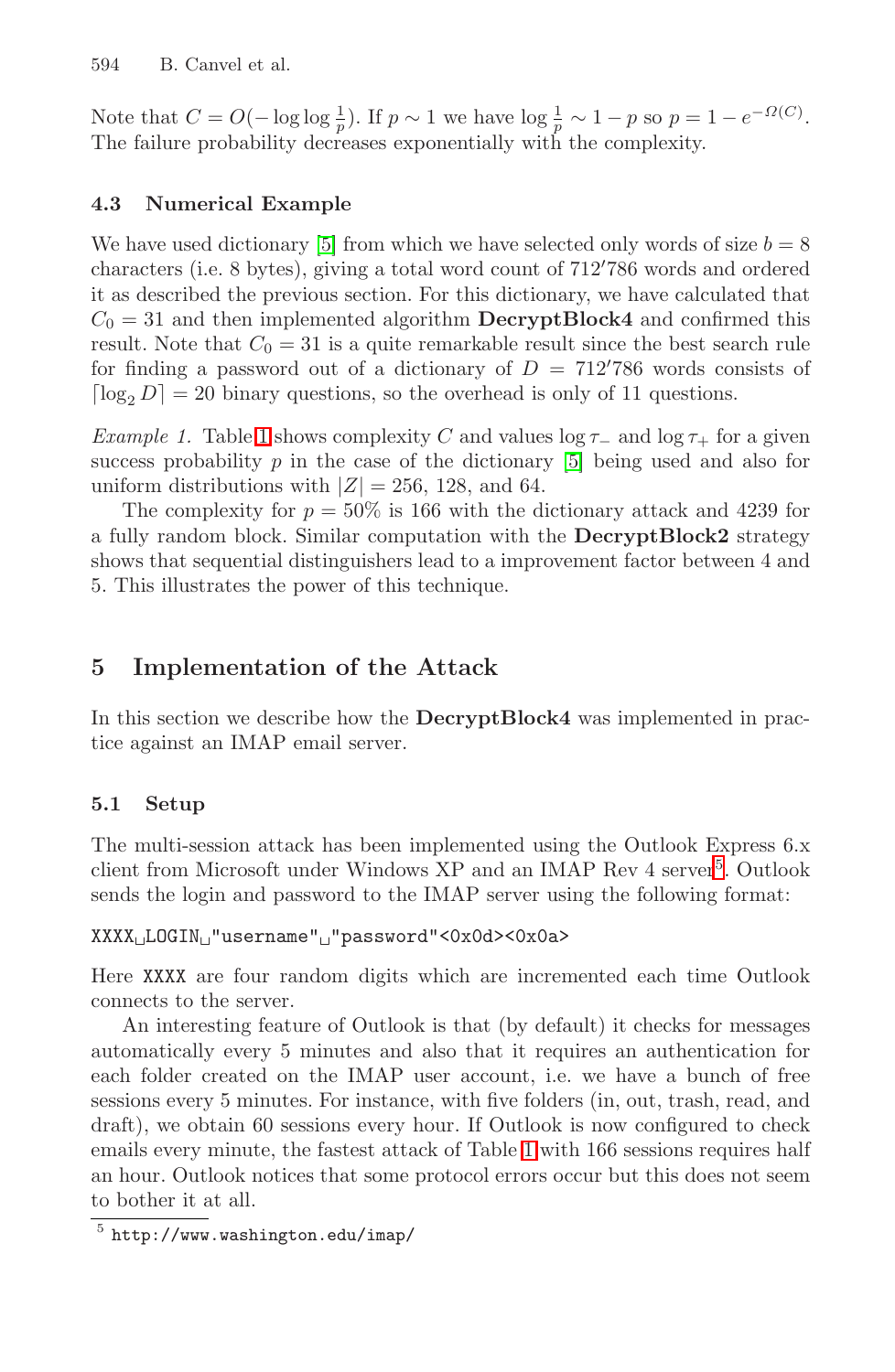<span id="page-11-0"></span>Note that  $C = O(-\log \log \frac{1}{p})$ . If  $p \sim 1$  we have  $\log \frac{1}{p} \sim 1 - p$  so  $p = 1 - e^{-\Omega(C)}$ . The failure probability decreases exponentially with the complexity.

## **4.3 Numerical Example**

We have used dictionary [\[5\]](#page-15-0) from which we have selected only words of size  $b = 8$ characters (i.e. 8 bytes), giving a total word count of  $712'786$  words and ordered it as described the previous section. For this dictionary, we have calculated that  $C_0 = 31$  and then implemented algorithm **DecryptBlock4** and confirmed this result. Note that  $C_0 = 31$  is a quite remarkable result since the best search rule for finding a password out of a dictionary of  $D = 712'786$  words consists of  $\lceil \log_2 D \rceil = 20$  binary questions, so the overhead is only of 11 questions.

*Example [1](#page-12-0).* Table 1 shows complexity C and values  $\log \tau_-\,$  and  $\log \tau_+$  for a given success probability  $p$  in the case of the dictionary  $[5]$  being used and also for uniform distributions with  $|Z| = 256$ , 128, and 64.

The complexity for  $p = 50\%$  is 166 with the dictionary attack and 4239 for a fully random block. Similar computation with the **DecryptBlock2** strategy shows that sequential distinguishers lead to a improvement factor between 4 and 5. This illustrates the power of this technique.

## **5 Implementation of the Attack**

In this section we describe how the **DecryptBlock4** was implemented in practice against an IMAP email server.

## **5.1 Setup**

The multi-session attack has been implemented using the Outlook Express 6.x client from Microsoft under Windows  $XP$  and an IMAP Rev 4 server<sup>5</sup>. Outlook sends the login and password to the IMAP server using the following format:

### XXXX<sub>LI</sub>LOGIN<sub>L</sub>"username"<sub>L</sub>"password"<0x0d><0x0a>

Here XXXX are four random digits which are incremented each time Outlook connects to the server.

An interesting feature of Outlook is that (by default) it checks for messages automatically every 5 minutes and also that it requires an authentication for each folder created on the IMAP user account, i.e. we have a bunch of free sessions every 5 minutes. For instance, with five folders (in, out, trash, read, and draft), we obtain 60 sessions every hour. If Outlook is now configured to check emails every minute, the fastest attack of Table [1](#page-12-0) with 166 sessions requires half an hour. Outlook notices that some protocol errors occur but this does not seem to bother it at all.

 $5$  http://www.washington.edu/imap/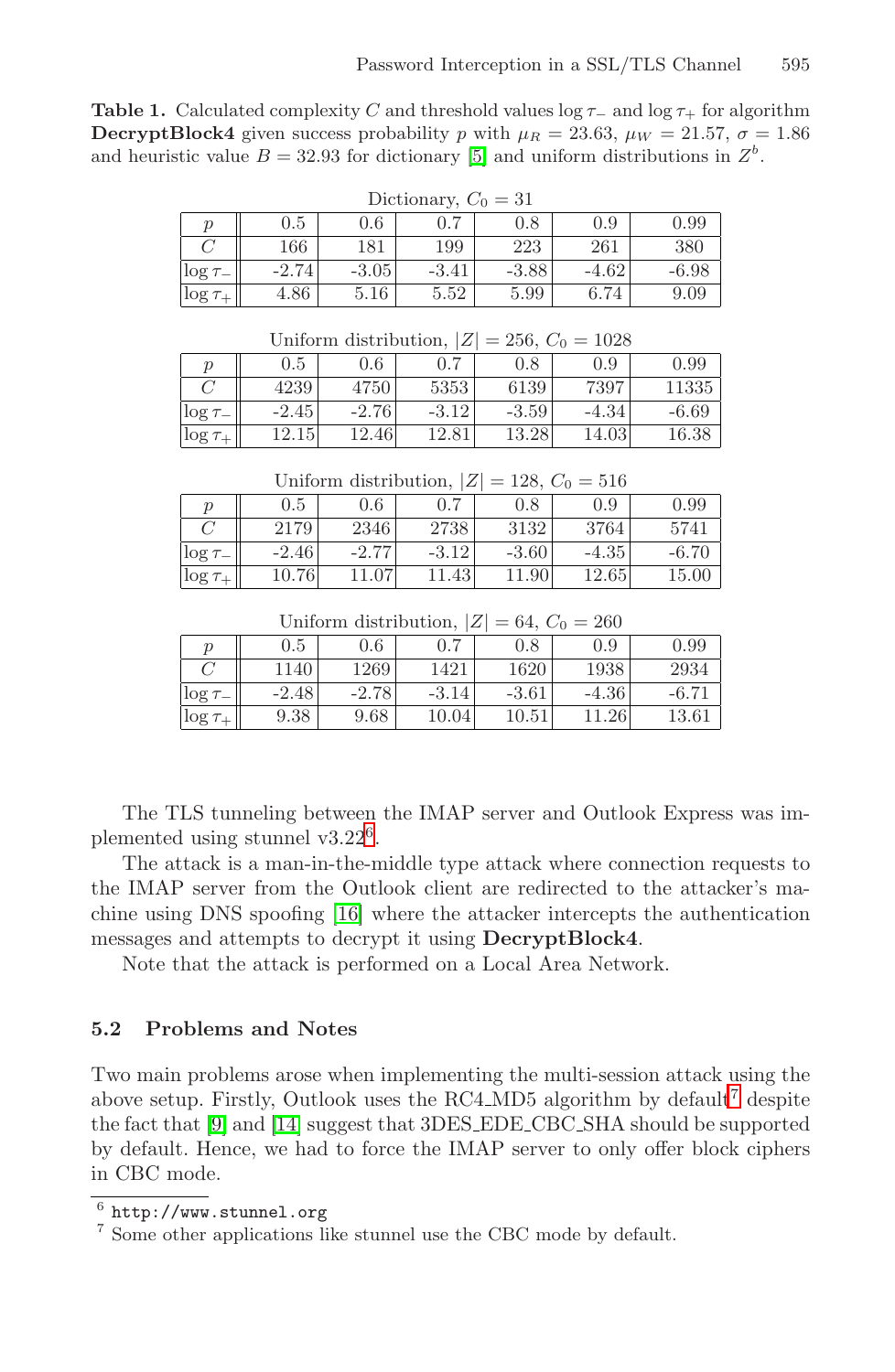<span id="page-12-0"></span>**Table 1.** Calculated complexity C and threshold values log  $\tau_-\$  and log  $\tau_+$  for algorithm **DecryptBlock4** given success probability p with  $\mu_R = 23.63$ ,  $\mu_W = 21.57$ ,  $\sigma = 1.86$ and heuristic value  $B = 32.93$  for dictionary [\[5\]](#page-15-0) and uniform distributions in  $Z<sup>b</sup>$ .

| Dictionary, $C_0 = 31$ |         |         |         |         |          |       |  |
|------------------------|---------|---------|---------|---------|----------|-------|--|
|                        | $0.5\,$ | 0.6     |         | $0.8\,$ | 0.9      | 0.99  |  |
|                        | 166     | 181     | 199     | 223     | 261      | 380   |  |
| $\log \tau$            | $-2.74$ | $-3.05$ | $-3.41$ | $-3.88$ | $-4.62$  | -6.98 |  |
| $\log \tau_+$          | 4.86    | 5.16    | 5.52    | 5.99    | $6.74\,$ | 9.09  |  |

| $\log \tau_{+}$ | 4.86    | 5.16                                             | 5.52    | 5.99    | 6.74  |         |
|-----------------|---------|--------------------------------------------------|---------|---------|-------|---------|
|                 |         |                                                  |         |         |       |         |
|                 |         | Uniform distribution, $ Z  = 256$ , $C_0 = 1028$ |         |         |       |         |
|                 | 0.5     | 0.6                                              | 0.7     | 0.8     | (0.9) | 0.99    |
|                 | 4239    | 4750                                             | 5353    | 6139    | 7397  | 11335   |
| $\log \tau$     | $-2.45$ | $-2.76$                                          | $-3.12$ | $-3.59$ | -4.34 | $-6.69$ |

Uniform distribution,  $|Z| = 128$ ,  $C_0 = 516$ 

 $\log \tau_{+}$  12.15 12.46 12.81 13.28 14.03 16.38

|               | $0.5\,$ | 0.6     | 0.7     | $0.8\,$ | 0.9     | 0.99    |
|---------------|---------|---------|---------|---------|---------|---------|
|               | 2179    | 2346    | 2738    | 3132    | 3764    | 5741    |
| $\log \tau$   | $-2.46$ | $-2.77$ | $-3.12$ | $-3.60$ | $-4.35$ | $-6.70$ |
| $\log \tau_+$ | 10.76   | .07     | .1.43   | 11.90   | 12.65   | 15.00   |

Uniform distribution,  $|Z| = 64$ ,  $C_0 = 260$ 

|               | $0.5\,$ | $0.6\,$ | $0.7\,$         | 0.8     | $0.9\,$ | 0.99   |
|---------------|---------|---------|-----------------|---------|---------|--------|
|               | 140     | 1269    | 1421            | 1620    | 1938    | 2934   |
| $\log \tau$   | $-2.48$ | $-2.78$ | $-3.14$         | $-3.61$ | $-4.36$ | $-6.7$ |
| $\log \tau_+$ | 9.38    | 9.68    | $10.04^{\circ}$ | 10.51   | .26     |        |

The TLS tunneling between the IMAP server and Outlook Express was implemented using stunnel v3.22<sup>6</sup>.

The attack is a man-in-the-middle type attack where connection requests to the IMAP server from the Outlook client are redirected to the attacker's machine using DNS spoofing [\[16\]](#page-16-0) where the attacker intercepts the authentication messages and attempts to decrypt it using **DecryptBlock4**.

Note that the attack is performed on a Local Area Network.

### **5.2 Problems and Notes**

Two main problems arose when implementing the multi-session attack using the above setup. Firstly, Outlook uses the RC4 MD5 algorithm by default<sup>7</sup> despite the fact that [\[9\]](#page-15-0) and [\[14\]](#page-15-0) suggest that 3DES EDE CBC SHA should be supported by default. Hence, we had to force the IMAP server to only offer block ciphers in CBC mode.

 $^6$  http://www.stunnel.org<br><sup>7</sup> Some other applications like stunnel use the CBC mode by default.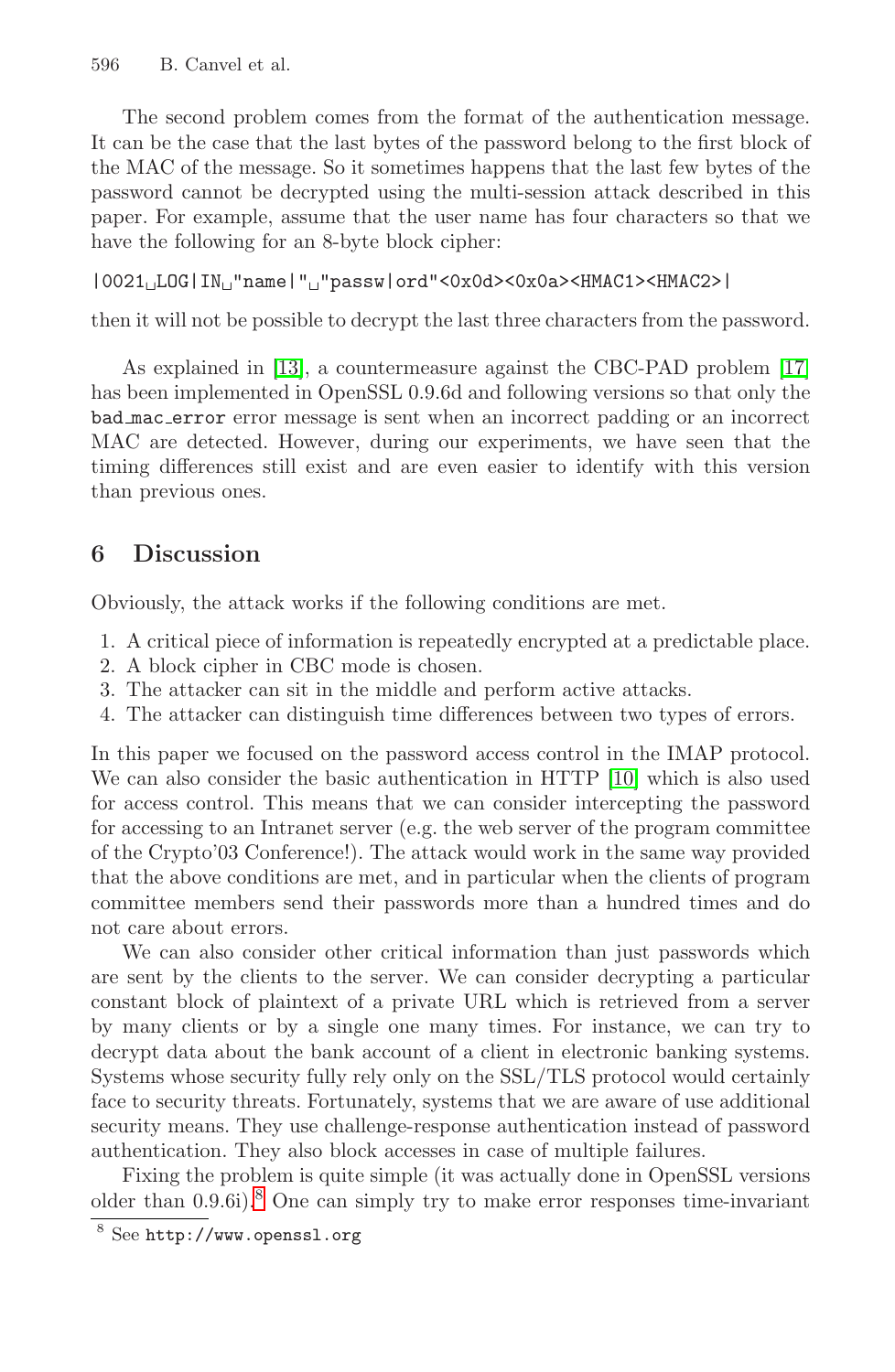<span id="page-13-0"></span>The second problem comes from the format of the authentication message. It can be the case that the last bytes of the password belong to the first block of the MAC of the message. So it sometimes happens that the last few bytes of the password cannot be decrypted using the multi-session attack described in this paper. For example, assume that the user name has four characters so that we have the following for an 8-byte block cipher:

```
|0021LOG|IN"name|""passw|ord"<0x0d><0x0a><HMAC1><HMAC2>|
```
then it will not be possible to decrypt the last three characters from the password.

As explained in [\[13\]](#page-15-0), a countermeasure against the CBC-PAD problem [\[17\]](#page-16-0) has been implemented in OpenSSL 0.9.6d and following versions so that only the bad mac error error message is sent when an incorrect padding or an incorrect MAC are detected. However, during our experiments, we have seen that the timing differences still exist and are even easier to identify with this version than previous ones.

## **6 Discussion**

Obviously, the attack works if the following conditions are met.

- 1. A critical piece of information is repeatedly encrypted at a predictable place.
- 2. A block cipher in CBC mode is chosen.
- 3. The attacker can sit in the middle and perform active attacks.
- 4. The attacker can distinguish time differences between two types of errors.

In this paper we focused on the password access control in the IMAP protocol. We can also consider the basic authentication in HTTP [\[10\]](#page-15-0) which is also used for access control. This means that we can consider intercepting the password for accessing to an Intranet server (e.g. the web server of the program committee of the Crypto'03 Conference!). The attack would work in the same way provided that the above conditions are met, and in particular when the clients of program committee members send their passwords more than a hundred times and do not care about errors.

We can also consider other critical information than just passwords which are sent by the clients to the server. We can consider decrypting a particular constant block of plaintext of a private URL which is retrieved from a server by many clients or by a single one many times. For instance, we can try to decrypt data about the bank account of a client in electronic banking systems. Systems whose security fully rely only on the SSL/TLS protocol would certainly face to security threats. Fortunately, systems that we are aware of use additional security means. They use challenge-response authentication instead of password authentication. They also block accesses in case of multiple failures.

Fixing the problem is quite simple (it was actually done in OpenSSL versions older than  $0.9.6i$ .<sup>8</sup> One can simply try to make error responses time-invariant

<sup>8</sup> See http://www.openssl.org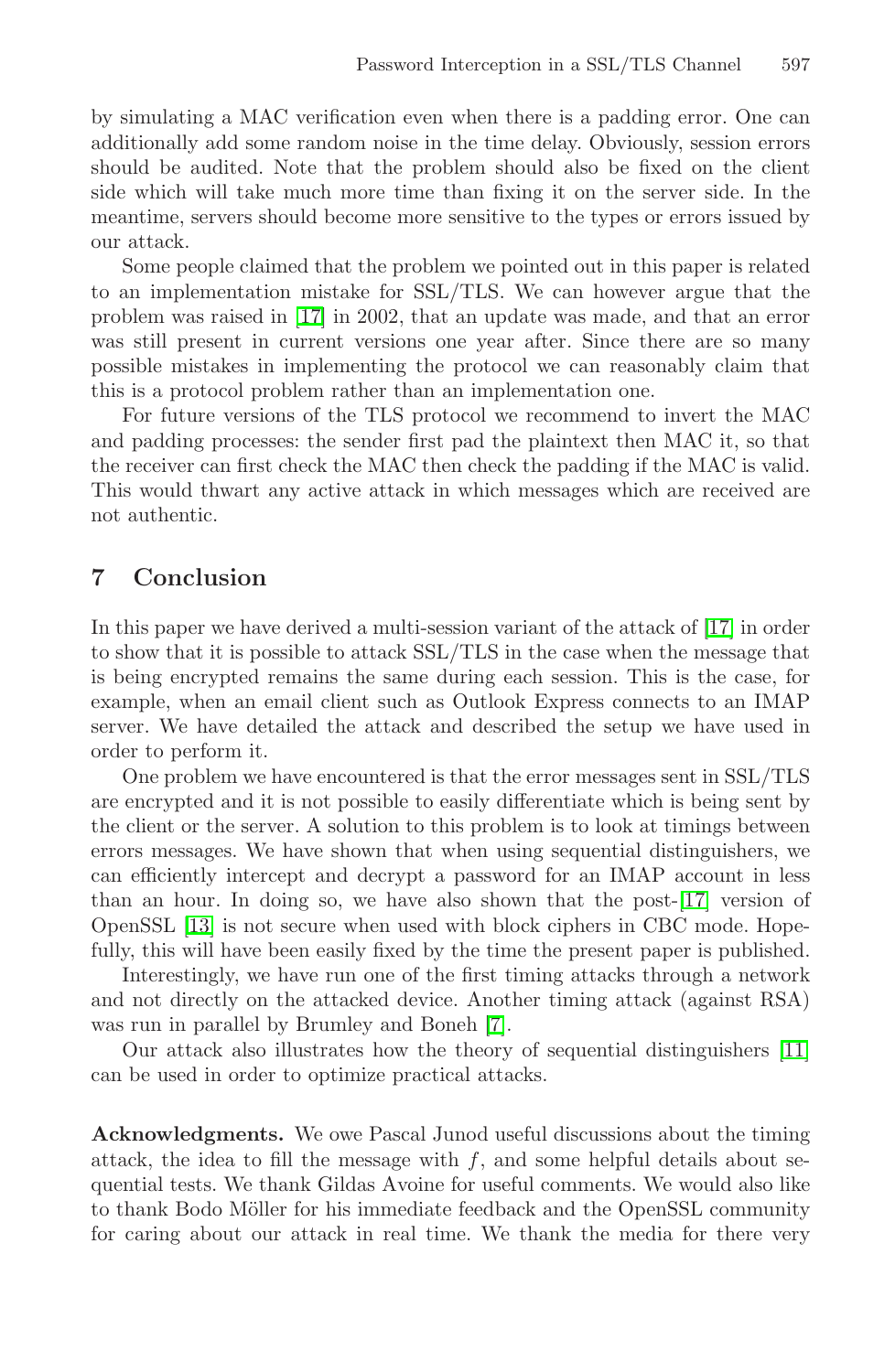by simulating a MAC verification even when there is a padding error. One can additionally add some random noise in the time delay. Obviously, session errors should be audited. Note that the problem should also be fixed on the client side which will take much more time than fixing it on the server side. In the meantime, servers should become more sensitive to the types or errors issued by our attack.

Some people claimed that the problem we pointed out in this paper is related to an implementation mistake for SSL/TLS. We can however argue that the problem was raised in [\[17\]](#page-16-0) in 2002, that an update was made, and that an error was still present in current versions one year after. Since there are so many possible mistakes in implementing the protocol we can reasonably claim that this is a protocol problem rather than an implementation one.

For future versions of the TLS protocol we recommend to invert the MAC and padding processes: the sender first pad the plaintext then MAC it, so that the receiver can first check the MAC then check the padding if the MAC is valid. This would thwart any active attack in which messages which are received are not authentic.

## **7 Conclusion**

In this paper we have derived a multi-session variant of the attack of [\[17\]](#page-16-0) in order to show that it is possible to attack SSL/TLS in the case when the message that is being encrypted remains the same during each session. This is the case, for example, when an email client such as Outlook Express connects to an IMAP server. We have detailed the attack and described the setup we have used in order to perform it.

One problem we have encountered is that the error messages sent in SSL/TLS are encrypted and it is not possible to easily differentiate which is being sent by the client or the server. A solution to this problem is to look at timings between errors messages. We have shown that when using sequential distinguishers, we can efficiently intercept and decrypt a password for an IMAP account in less than an hour. In doing so, we have also shown that the post-[\[17\]](#page-16-0) version of OpenSSL [\[13\]](#page-15-0) is not secure when used with block ciphers in CBC mode. Hopefully, this will have been easily fixed by the time the present paper is published.

Interestingly, we have run one of the first timing attacks through a network and not directly on the attacked device. Another timing attack (against RSA) was run in parallel by Brumley and Boneh [\[7\]](#page-15-0).

Our attack also illustrates how the theory of sequential distinguishers [\[11\]](#page-15-0) can be used in order to optimize practical attacks.

**Acknowledgments.** We owe Pascal Junod useful discussions about the timing attack, the idea to fill the message with  $f$ , and some helpful details about sequential tests. We thank Gildas Avoine for useful comments. We would also like to thank Bodo Möller for his immediate feedback and the OpenSSL community for caring about our attack in real time. We thank the media for there very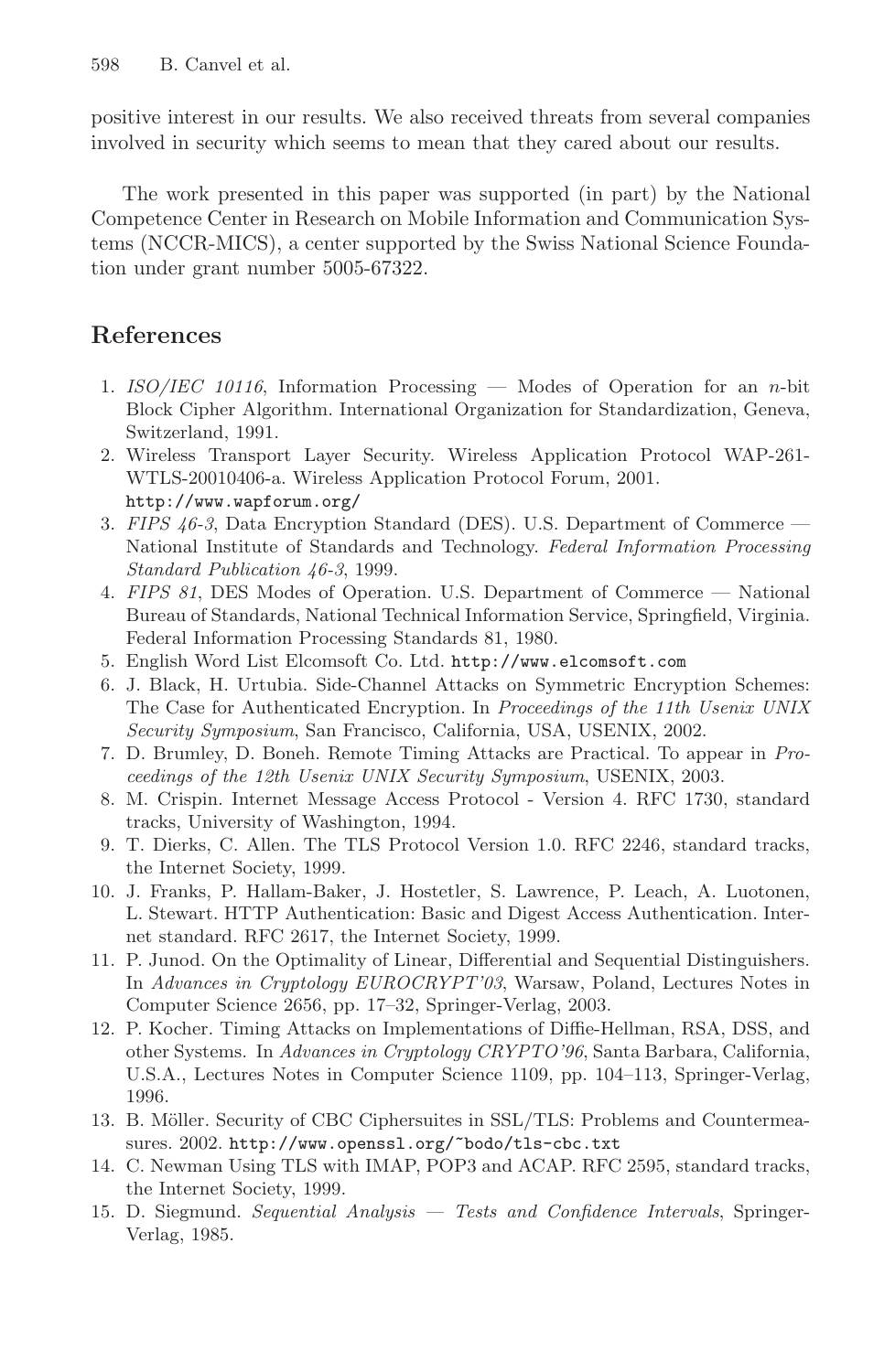<span id="page-15-0"></span>positive interest in our results. We also received threats from several companies involved in security which seems to mean that they cared about our results.

The work presented in this paper was supported (in part) by the National Competence Center in Research on Mobile Information and Communication Systems (NCCR-MICS), a center supported by the Swiss National Science Foundation under grant number 5005-67322.

## **References**

- 1. ISO/IEC 10116, Information Processing Modes of Operation for an n-bit Block Cipher Algorithm. International Organization for Standardization, Geneva, Switzerland, 1991.
- 2. Wireless Transport Layer Security. Wireless Application Protocol WAP-261- WTLS-20010406-a. Wireless Application Protocol Forum, 2001. http://www.wapforum.org/
- 3. FIPS 46-3, Data Encryption Standard (DES). U.S. Department of Commerce National Institute of Standards and Technology. Federal Information Processing Standard Publication 46-3, 1999.
- 4. FIPS 81, DES Modes of Operation. U.S. Department of Commerce National Bureau of Standards, National Technical Information Service, Springfield, Virginia. Federal Information Processing Standards 81, 1980.
- 5. English Word List Elcomsoft Co. Ltd. http://www.elcomsoft.com
- 6. J. Black, H. Urtubia. Side-Channel Attacks on Symmetric Encryption Schemes: The Case for Authenticated Encryption. In Proceedings of the 11th Usenix UNIX Security Symposium, San Francisco, California, USA, USENIX, 2002.
- 7. D. Brumley, D. Boneh. Remote Timing Attacks are Practical. To appear in Proceedings of the 12th Usenix UNIX Security Symposium, USENIX, 2003.
- 8. M. Crispin. Internet Message Access Protocol Version 4. RFC 1730, standard tracks, University of Washington, 1994.
- 9. T. Dierks, C. Allen. The TLS Protocol Version 1.0. RFC 2246, standard tracks, the Internet Society, 1999.
- 10. J. Franks, P. Hallam-Baker, J. Hostetler, S. Lawrence, P. Leach, A. Luotonen, L. Stewart. HTTP Authentication: Basic and Digest Access Authentication. Internet standard. RFC 2617, the Internet Society, 1999.
- 11. P. Junod. On the Optimality of Linear, Differential and Sequential Distinguishers. In Advances in Cryptology EUROCRYPT'03, Warsaw, Poland, Lectures Notes in Computer Science 2656, pp. 17–32, Springer-Verlag, 2003.
- 12. P. Kocher. Timing Attacks on Implementations of Diffie-Hellman, RSA, DSS, and other Systems. In Advances in Cryptology CRYPTO'96, Santa Barbara, California, U.S.A., Lectures Notes in Computer Science 1109, pp. 104–113, Springer-Verlag, 1996.
- 13. B. Möller. Security of CBC Ciphersuites in SSL/TLS: Problems and Countermeasures. 2002. http://www.openssl.org/˜bodo/tls-cbc.txt
- 14. C. Newman Using TLS with IMAP, POP3 and ACAP. RFC 2595, standard tracks, the Internet Society, 1999.
- 15. D. Siegmund. Sequential Analysis Tests and Confidence Intervals, Springer-Verlag, 1985.